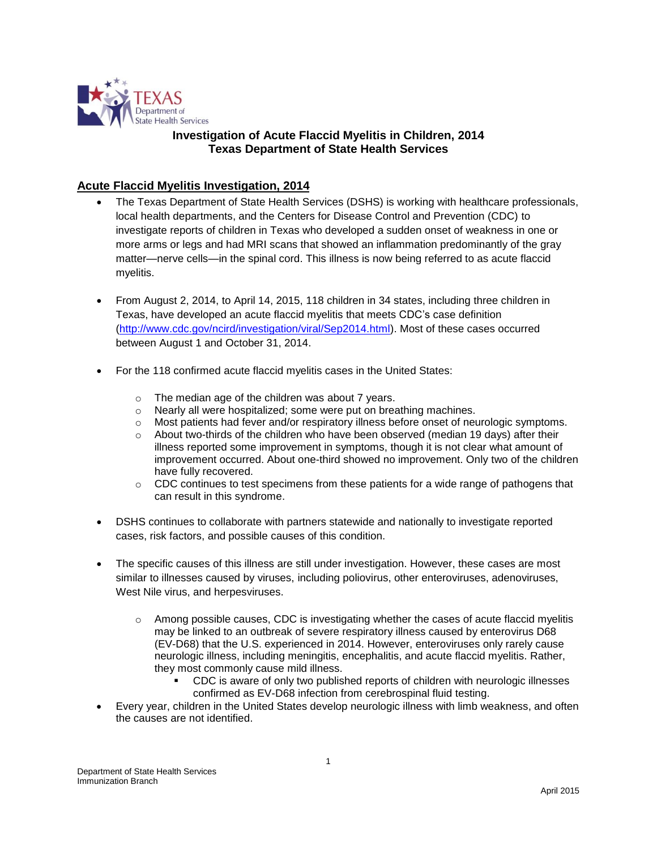

# **Investigation of Acute Flaccid Myelitis in Children, 2014 Texas Department of State Health Services**

## **Acute Flaccid Myelitis Investigation, 2014**

- The Texas Department of State Health Services (DSHS) is working with healthcare professionals, local health departments, and the Centers for Disease Control and Prevention (CDC) to investigate reports of children in Texas who developed a sudden onset of weakness in one or more arms or legs and had MRI scans that showed an inflammation predominantly of the gray matter—nerve cells—in the spinal cord. This illness is now being referred to as acute flaccid myelitis.
- From August 2, 2014, to April 14, 2015, 118 children in 34 states, including three children in Texas, have developed an acute flaccid myelitis that meets CDC's case definition [\(http://www.cdc.gov/ncird/investigation/viral/Sep2014.html\)](http://www.cdc.gov/ncird/investigation/viral/Sep2014.html). Most of these cases occurred between August 1 and October 31, 2014.
- For the 118 confirmed acute flaccid myelitis cases in the United States:
	- o The median age of the children was about 7 years.
	- $\circ$  Nearly all were hospitalized; some were put on breathing machines.
	- $\circ$  Most patients had fever and/or respiratory illness before onset of neurologic symptoms.
	- $\circ$  About two-thirds of the children who have been observed (median 19 days) after their illness reported some improvement in symptoms, though it is not clear what amount of improvement occurred. About one-third showed no improvement. Only two of the children have fully recovered.
	- $\circ$  CDC continues to test specimens from these patients for a wide range of pathogens that can result in this syndrome.
- DSHS continues to collaborate with partners statewide and nationally to investigate reported cases, risk factors, and possible causes of this condition.
- The specific causes of this illness are still under investigation. However, these cases are most similar to illnesses caused by viruses, including poliovirus, other enteroviruses, adenoviruses, West Nile virus, and herpesviruses.
	- o Among possible causes, CDC is investigating whether the cases of acute flaccid myelitis may be linked to an outbreak of severe respiratory illness caused by enterovirus D68 (EV-D68) that the U.S. experienced in 2014. However, enteroviruses only rarely cause neurologic illness, including meningitis, encephalitis, and acute flaccid myelitis. Rather, they most commonly cause mild illness.
		- CDC is aware of only two published reports of children with neurologic illnesses confirmed as EV-D68 infection from cerebrospinal fluid testing.
- Every year, children in the United States develop neurologic illness with limb weakness, and often the causes are not identified.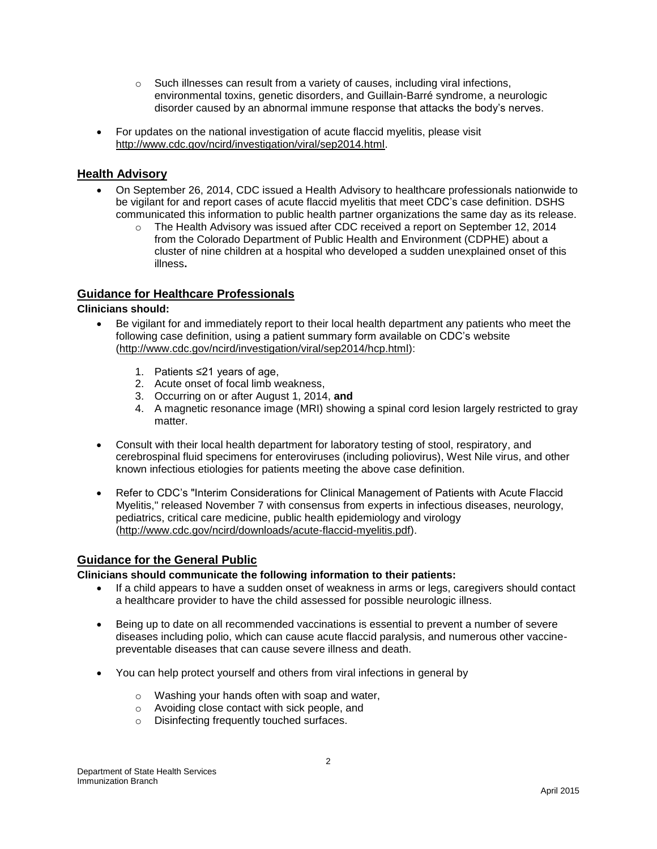- o Such illnesses can result from a variety of causes, including viral infections, environmental toxins, genetic disorders, and Guillain-Barré syndrome, a neurologic disorder caused by an abnormal immune response that attacks the body's nerves.
- For updates on the national investigation of acute flaccid myelitis, please visit [http://www.cdc.gov/ncird/investigation/viral/sep2014.html.](http://www.cdc.gov/ncird/investigation/viral/sep2014.html)

### **Health Advisory**

- On September 26, 2014, CDC issued a Health Advisory to healthcare professionals nationwide to be vigilant for and report cases of acute flaccid myelitis that meet CDC's case definition. DSHS communicated this information to public health partner organizations the same day as its release.
	- o The Health Advisory was issued after CDC received a report on September 12, 2014 from the Colorado Department of Public Health and Environment (CDPHE) about a cluster of nine children at a hospital who developed a sudden unexplained onset of this illness**.**

### **Guidance for Healthcare Professionals**

#### **Clinicians should:**

- Be vigilant for and immediately report to their local health department any patients who meet the following case definition, using a patient summary form available on CDC's website [\(http://www.cdc.gov/ncird/investigation/viral/sep2014/hcp.html\)](http://www.cdc.gov/ncird/investigation/viral/sep2014/hcp.html):
	- 1. Patients ≤21 years of age,
	- 2. Acute onset of focal limb weakness,
	- 3. Occurring on or after August 1, 2014, **and**
	- 4. A magnetic resonance image (MRI) showing a spinal cord lesion largely restricted to gray matter.
- Consult with their local health department for laboratory testing of stool, respiratory, and cerebrospinal fluid specimens for enteroviruses (including poliovirus), West Nile virus, and other known infectious etiologies for patients meeting the above case definition.
- Refer to CDC's "Interim Considerations for Clinical Management of Patients with Acute Flaccid Myelitis," released November 7 with consensus from experts in infectious diseases, neurology, pediatrics, critical care medicine, public health epidemiology and virology [\(http://www.cdc.gov/ncird/downloads/acute-flaccid-myelitis.pdf\)](http://www.cdc.gov/ncird/downloads/acute-flaccid-myelitis.pdf).

#### **Guidance for the General Public**

**Clinicians should communicate the following information to their patients:** 

- If a child appears to have a sudden onset of weakness in arms or legs, caregivers should contact a healthcare provider to have the child assessed for possible neurologic illness.
- Being up to date on all recommended vaccinations is essential to prevent a number of severe diseases including polio, which can cause acute flaccid paralysis, and numerous other vaccinepreventable diseases that can cause severe illness and death.
- You can help protect yourself and others from viral infections in general by
	- o Washing your hands often with soap and water,
	- o Avoiding close contact with sick people, and
	- o Disinfecting frequently touched surfaces.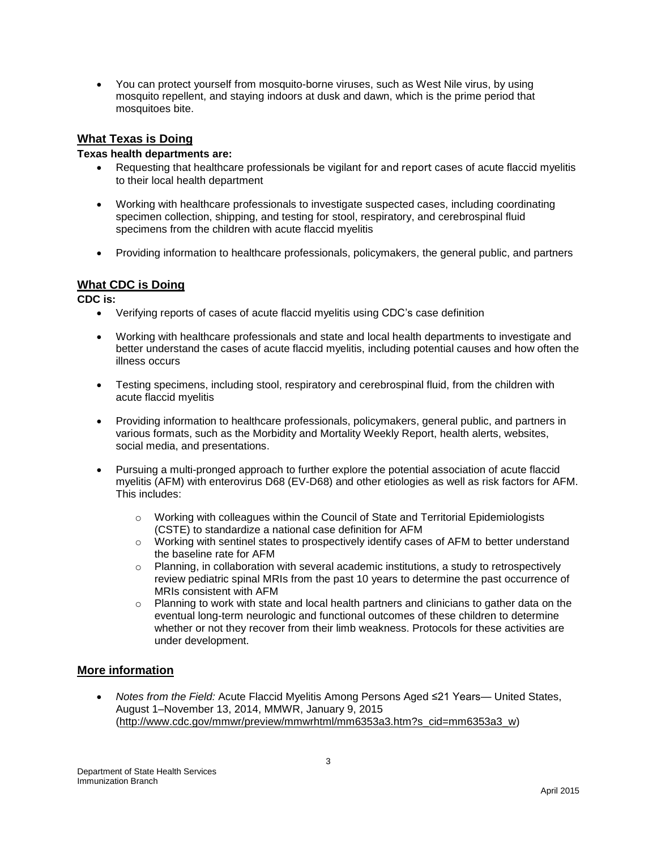You can protect yourself from mosquito-borne viruses, such as West Nile virus, by using mosquito repellent, and staying indoors at dusk and dawn, which is the prime period that mosquitoes bite.

### **What Texas is Doing**

#### **Texas health departments are:**

- Requesting that healthcare professionals be vigilant for and report cases of acute flaccid myelitis to their local health department
- Working with healthcare professionals to investigate suspected cases, including coordinating specimen collection, shipping, and testing for stool, respiratory, and cerebrospinal fluid specimens from the children with acute flaccid myelitis
- Providing information to healthcare professionals, policymakers, the general public, and partners

### **What CDC is Doing**

**CDC is:**

- Verifying reports of cases of acute flaccid myelitis using CDC's case definition
- Working with healthcare professionals and state and local health departments to investigate and better understand the cases of acute flaccid myelitis, including potential causes and how often the illness occurs
- Testing specimens, including stool, respiratory and cerebrospinal fluid, from the children with acute flaccid myelitis
- Providing information to healthcare professionals, policymakers, general public, and partners in various formats, such as the Morbidity and Mortality Weekly Report, health alerts, websites, social media, and presentations.
- Pursuing a multi-pronged approach to further explore the potential association of acute flaccid myelitis (AFM) with enterovirus D68 (EV-D68) and other etiologies as well as risk factors for AFM. This includes:
	- $\circ$  Working with colleagues within the Council of State and Territorial Epidemiologists (CSTE) to standardize a national case definition for AFM
	- o Working with sentinel states to prospectively identify cases of AFM to better understand the baseline rate for AFM
	- $\circ$  Planning, in collaboration with several academic institutions, a study to retrospectively review pediatric spinal MRIs from the past 10 years to determine the past occurrence of MRIs consistent with AFM
	- $\circ$  Planning to work with state and local health partners and clinicians to gather data on the eventual long-term neurologic and functional outcomes of these children to determine whether or not they recover from their limb weakness. Protocols for these activities are under development.

#### **More information**

 *Notes from the Field:* Acute Flaccid Myelitis Among Persons Aged ≤21 Years— United States, August 1–November 13, 2014, MMWR, January 9, 2015 [\(http://www.cdc.gov/mmwr/preview/mmwrhtml/mm6353a3.htm?s\\_cid=mm6353a3\\_w\)](http://www.cdc.gov/mmwr/preview/mmwrhtml/mm6353a3.htm?s_cid=mm6353a3_w)